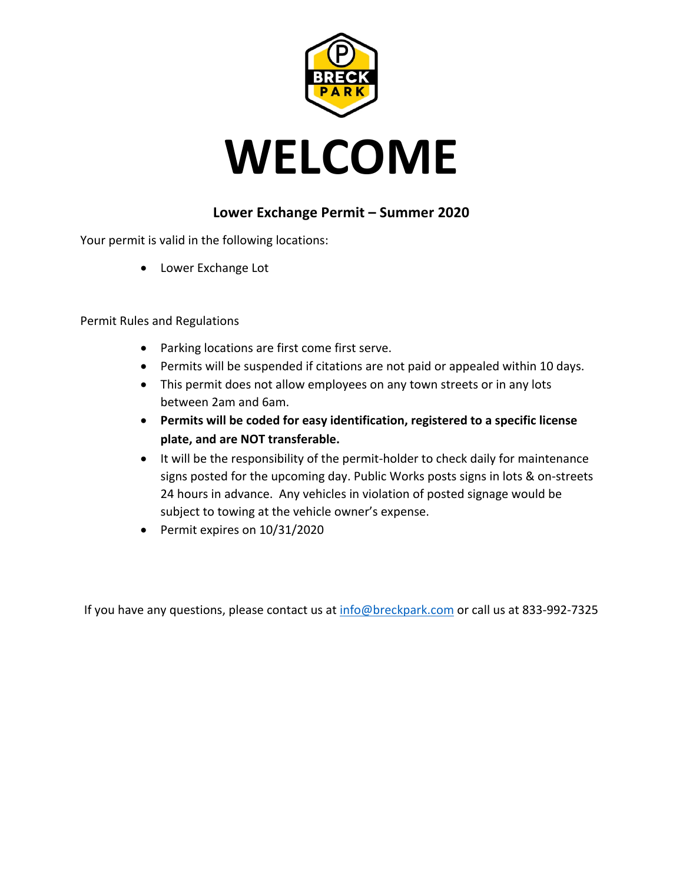



## **Lower Exchange Permit – Summer 2020**

Your permit is valid in the following locations:

• Lower Exchange Lot

Permit Rules and Regulations

- Parking locations are first come first serve.
- Permits will be suspended if citations are not paid or appealed within 10 days.
- This permit does not allow employees on any town streets or in any lots between 2am and 6am.
- **Permits will be coded for easy identification, registered to a specific license plate, and are NOT transferable.**
- It will be the responsibility of the permit-holder to check daily for maintenance signs posted for the upcoming day. Public Works posts signs in lots & on-streets 24 hours in advance. Any vehicles in violation of posted signage would be subject to towing at the vehicle owner's expense.
- Permit expires on 10/31/2020

If you have any questions, please contact us at info@breckpark.com or call us at 833-992-7325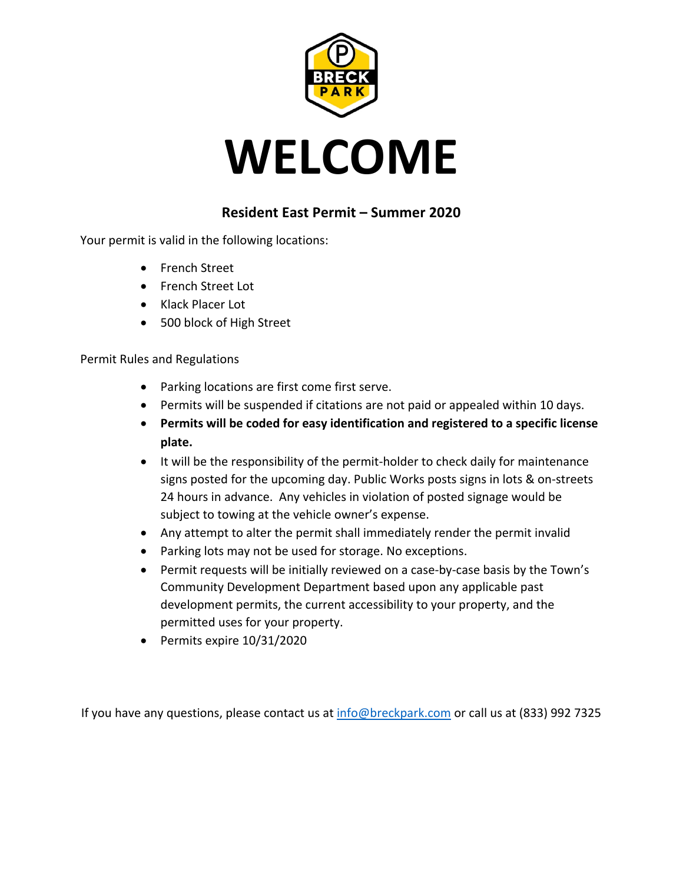



## **Resident East Permit – Summer 2020**

Your permit is valid in the following locations:

- French Street
- French Street Lot
- Klack Placer Lot
- 500 block of High Street

Permit Rules and Regulations

- Parking locations are first come first serve.
- Permits will be suspended if citations are not paid or appealed within 10 days.
- **Permits will be coded for easy identification and registered to a specific license plate.**
- It will be the responsibility of the permit-holder to check daily for maintenance signs posted for the upcoming day. Public Works posts signs in lots & on-streets 24 hours in advance. Any vehicles in violation of posted signage would be subject to towing at the vehicle owner's expense.
- Any attempt to alter the permit shall immediately render the permit invalid
- Parking lots may not be used for storage. No exceptions.
- Permit requests will be initially reviewed on a case-by-case basis by the Town's Community Development Department based upon any applicable past development permits, the current accessibility to your property, and the permitted uses for your property.
- Permits expire 10/31/2020

If you have any questions, please contact us at info@breckpark.com or call us at (833) 992 7325